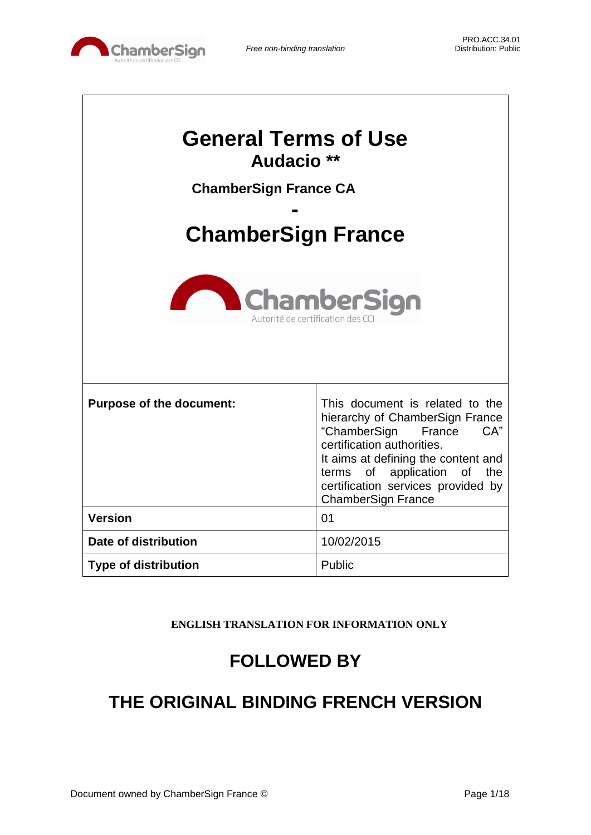

| <b>General Terms of Use</b><br>Audacio <sup>**</sup><br><b>ChamberSign France CA</b><br><b>ChamberSign France</b><br><b>ChamberSign</b><br>Autorité de certification des C |                                                                                                                                                                                                                                                                         |  |
|----------------------------------------------------------------------------------------------------------------------------------------------------------------------------|-------------------------------------------------------------------------------------------------------------------------------------------------------------------------------------------------------------------------------------------------------------------------|--|
| <b>Purpose of the document:</b>                                                                                                                                            | This document is related to the<br>hierarchy of ChamberSign France<br>CA"<br>"ChamberSign France<br>certification authorities.<br>It aims at defining the content and<br>terms of application of the<br>certification services provided by<br><b>ChamberSign France</b> |  |
| <b>Version</b>                                                                                                                                                             | 01                                                                                                                                                                                                                                                                      |  |
| Date of distribution                                                                                                                                                       | 10/02/2015                                                                                                                                                                                                                                                              |  |
| <b>Type of distribution</b>                                                                                                                                                | Public                                                                                                                                                                                                                                                                  |  |

**ENGLISH TRANSLATION FOR INFORMATION ONLY**

# **FOLLOWED BY**

# **THE ORIGINAL BINDING FRENCH VERSION**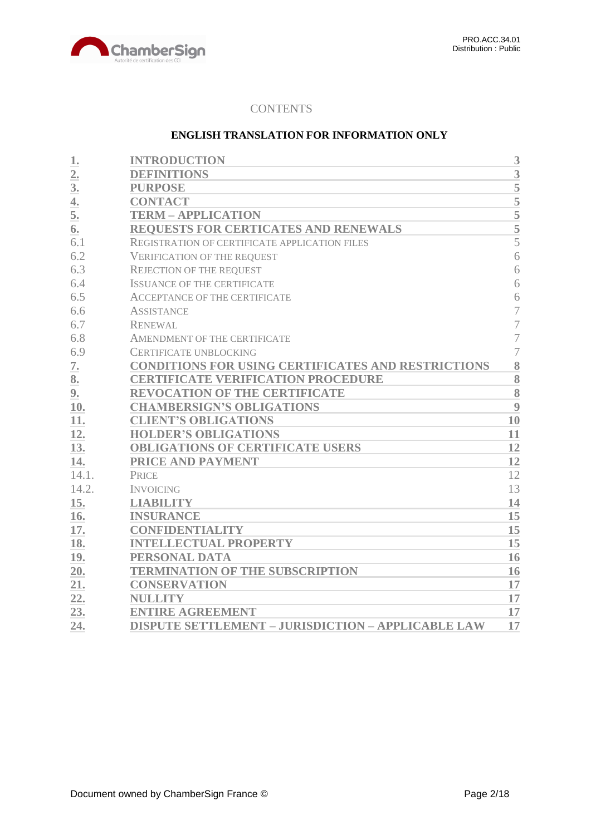

## **CONTENTS**

## **ENGLISH TRANSLATION FOR INFORMATION ONLY**

| 1.    | <b>INTRODUCTION</b>                                       | 3                  |
|-------|-----------------------------------------------------------|--------------------|
| 2.    | <b>DEFINITIONS</b>                                        | 3                  |
| 3.    | <b>PURPOSE</b>                                            | 5                  |
| 4.    | <b>CONTACT</b>                                            | $\overline{5}$     |
| 5.    | <b>TERM - APPLICATION</b>                                 | $\frac{5}{5}$      |
| 6.    | REQUESTS FOR CERTICATES AND RENEWALS                      |                    |
| 6.1   | REGISTRATION OF CERTIFICATE APPLICATION FILES             | $\overline{5}$     |
| 6.2   | <b>VERIFICATION OF THE REQUEST</b>                        | 6                  |
| 6.3   | <b>REJECTION OF THE REQUEST</b>                           | 6                  |
| 6.4   | <b>ISSUANCE OF THE CERTIFICATE</b>                        | 6                  |
| 6.5   | <b>ACCEPTANCE OF THE CERTIFICATE</b>                      | 6                  |
| 6.6   | <b>ASSISTANCE</b>                                         | 7                  |
| 6.7   | <b>RENEWAL</b>                                            | 7                  |
| 6.8   | AMENDMENT OF THE CERTIFICATE                              | $\overline{7}$     |
| 6.9   | <b>CERTIFICATE UNBLOCKING</b>                             | 7                  |
| 7.    | CONDITIONS FOR USING CERTIFICATES AND RESTRICTIONS        | 8                  |
| 8.    | <b>CERTIFICATE VERIFICATION PROCEDURE</b>                 | 8                  |
| 9.    | <b>REVOCATION OF THE CERTIFICATE</b>                      | $\overline{\bf 8}$ |
| 10.   | <b>CHAMBERSIGN'S OBLIGATIONS</b>                          | 9                  |
| 11.   | <b>CLIENT'S OBLIGATIONS</b>                               | 10                 |
| 12.   | <b>HOLDER'S OBLIGATIONS</b>                               | 11                 |
| 13.   | <b>OBLIGATIONS OF CERTIFICATE USERS</b>                   | 12                 |
| 14.   | PRICE AND PAYMENT                                         | 12                 |
| 14.1. | <b>PRICE</b>                                              | 12                 |
| 14.2. | <b>INVOICING</b>                                          | 13                 |
| 15.   | <b>LIABILITY</b>                                          | 14                 |
| 16.   | <b>INSURANCE</b>                                          | 15                 |
| 17.   | <b>CONFIDENTIALITY</b>                                    | 15                 |
| 18.   | <b>INTELLECTUAL PROPERTY</b>                              | 15                 |
| 19.   | PERSONAL DATA                                             | 16                 |
| 20.   | <b>TERMINATION OF THE SUBSCRIPTION</b>                    | 16                 |
| 21.   | <b>CONSERVATION</b>                                       | 17                 |
| 22.   | <b>NULLITY</b>                                            | 17                 |
| 23.   | <b>ENTIRE AGREEMENT</b>                                   | 17                 |
| 24.   | <b>DISPUTE SETTLEMENT - JURISDICTION - APPLICABLE LAW</b> | 17                 |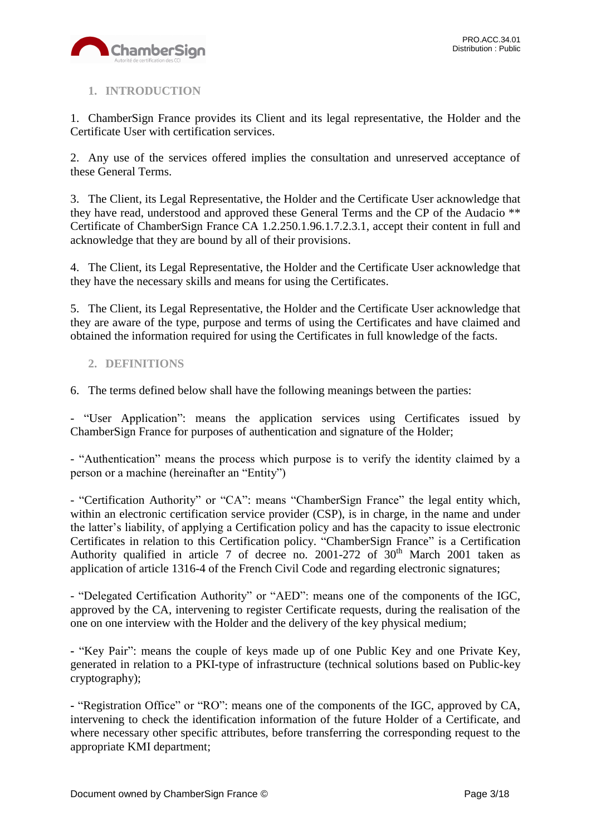

# <span id="page-2-0"></span>**1. INTRODUCTION**

1. ChamberSign France provides its Client and its legal representative, the Holder and the Certificate User with certification services.

2. Any use of the services offered implies the consultation and unreserved acceptance of these General Terms.

3. The Client, its Legal Representative, the Holder and the Certificate User acknowledge that they have read, understood and approved these General Terms and the CP of the Audacio \*\* Certificate of ChamberSign France CA 1.2.250.1.96.1.7.2.3.1, accept their content in full and acknowledge that they are bound by all of their provisions.

4. The Client, its Legal Representative, the Holder and the Certificate User acknowledge that they have the necessary skills and means for using the Certificates.

5. The Client, its Legal Representative, the Holder and the Certificate User acknowledge that they are aware of the type, purpose and terms of using the Certificates and have claimed and obtained the information required for using the Certificates in full knowledge of the facts.

## <span id="page-2-1"></span>**2. DEFINITIONS**

6. The terms defined below shall have the following meanings between the parties:

- "User Application": means the application services using Certificates issued by ChamberSign France for purposes of authentication and signature of the Holder;

- "Authentication" means the process which purpose is to verify the identity claimed by a person or a machine (hereinafter an "Entity")

- "Certification Authority" or "CA": means "ChamberSign France" the legal entity which, within an electronic certification service provider (CSP), is in charge, in the name and under the latter's liability, of applying a Certification policy and has the capacity to issue electronic Certificates in relation to this Certification policy. "ChamberSign France" is a Certification Authority qualified in article 7 of decree no. 2001-272 of  $30<sup>th</sup>$  March 2001 taken as application of article 1316-4 of the French Civil Code and regarding electronic signatures;

- "Delegated Certification Authority" or "AED": means one of the components of the IGC, approved by the CA, intervening to register Certificate requests, during the realisation of the one on one interview with the Holder and the delivery of the key physical medium;

**-** "Key Pair": means the couple of keys made up of one Public Key and one Private Key, generated in relation to a PKI-type of infrastructure (technical solutions based on Public-key cryptography);

**-** "Registration Office" or "RO": means one of the components of the IGC, approved by CA, intervening to check the identification information of the future Holder of a Certificate, and where necessary other specific attributes, before transferring the corresponding request to the appropriate KMI department;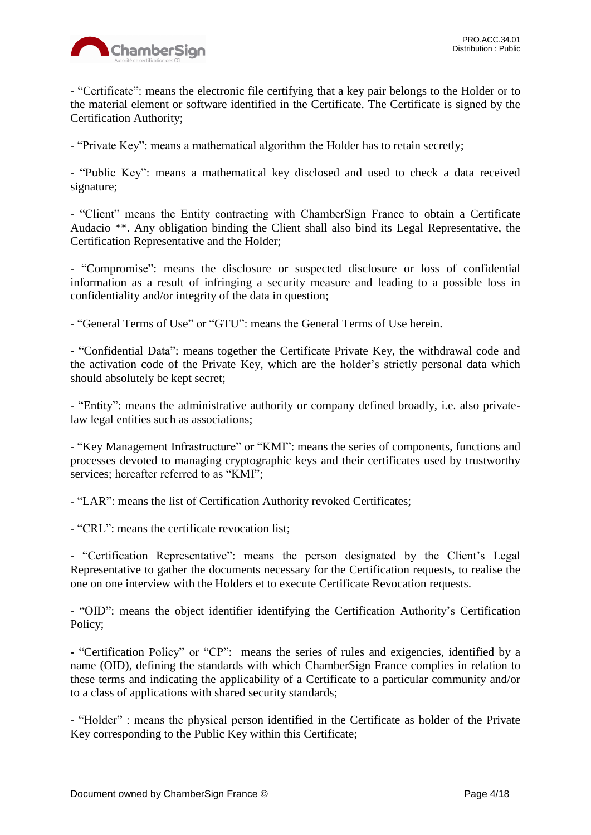

- "Certificate": means the electronic file certifying that a key pair belongs to the Holder or to the material element or software identified in the Certificate. The Certificate is signed by the Certification Authority;

- "Private Key": means a mathematical algorithm the Holder has to retain secretly;

- "Public Key": means a mathematical key disclosed and used to check a data received signature;

- "Client" means the Entity contracting with ChamberSign France to obtain a Certificate Audacio \*\*. Any obligation binding the Client shall also bind its Legal Representative, the Certification Representative and the Holder;

- "Compromise": means the disclosure or suspected disclosure or loss of confidential information as a result of infringing a security measure and leading to a possible loss in confidentiality and/or integrity of the data in question;

- "General Terms of Use" or "GTU": means the General Terms of Use herein.

**-** "Confidential Data": means together the Certificate Private Key, the withdrawal code and the activation code of the Private Key, which are the holder's strictly personal data which should absolutely be kept secret;

- "Entity": means the administrative authority or company defined broadly, i.e. also privatelaw legal entities such as associations;

- "Key Management Infrastructure" or "KMI": means the series of components, functions and processes devoted to managing cryptographic keys and their certificates used by trustworthy services; hereafter referred to as "KMI";

- "LAR": means the list of Certification Authority revoked Certificates;

- "CRL": means the certificate revocation list;

- "Certification Representative": means the person designated by the Client's Legal Representative to gather the documents necessary for the Certification requests, to realise the one on one interview with the Holders et to execute Certificate Revocation requests.

- "OID": means the object identifier identifying the Certification Authority's Certification Policy;

**-** "Certification Policy" or "CP": means the series of rules and exigencies, identified by a name (OID), defining the standards with which ChamberSign France complies in relation to these terms and indicating the applicability of a Certificate to a particular community and/or to a class of applications with shared security standards;

- "Holder" : means the physical person identified in the Certificate as holder of the Private Key corresponding to the Public Key within this Certificate;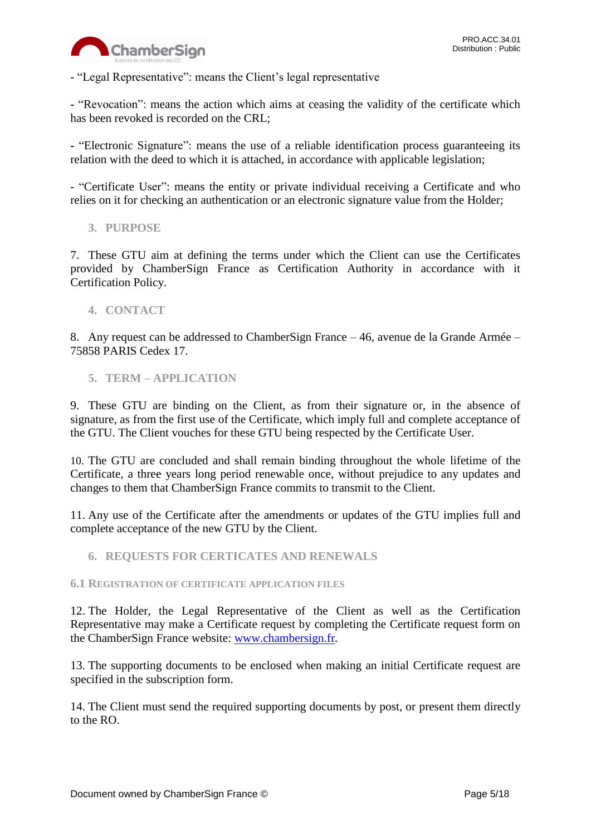

- "Legal Representative": means the Client's legal representative

**-** "Revocation": means the action which aims at ceasing the validity of the certificate which has been revoked is recorded on the CRL;

**-** "Electronic Signature": means the use of a reliable identification process guaranteeing its relation with the deed to which it is attached, in accordance with applicable legislation;

- "Certificate User": means the entity or private individual receiving a Certificate and who relies on it for checking an authentication or an electronic signature value from the Holder;

<span id="page-4-0"></span>**3. PURPOSE**

7. These GTU aim at defining the terms under which the Client can use the Certificates provided by ChamberSign France as Certification Authority in accordance with it Certification Policy.

<span id="page-4-1"></span>**4. CONTACT**

8. Any request can be addressed to ChamberSign France – 46, avenue de la Grande Armée – 75858 PARIS Cedex 17.

<span id="page-4-2"></span>**5. TERM – APPLICATION**

9. These GTU are binding on the Client, as from their signature or, in the absence of signature, as from the first use of the Certificate, which imply full and complete acceptance of the GTU. The Client vouches for these GTU being respected by the Certificate User.

10. The GTU are concluded and shall remain binding throughout the whole lifetime of the Certificate, a three years long period renewable once, without prejudice to any updates and changes to them that ChamberSign France commits to transmit to the Client.

11. Any use of the Certificate after the amendments or updates of the GTU implies full and complete acceptance of the new GTU by the Client.

<span id="page-4-3"></span>**6. REQUESTS FOR CERTICATES AND RENEWALS**

<span id="page-4-4"></span>**6.1 REGISTRATION OF CERTIFICATE APPLICATION FILES**

12. The Holder, the Legal Representative of the Client as well as the Certification Representative may make a Certificate request by completing the Certificate request form on the ChamberSign France website: [www.chambersign.fr.](http://www.chambersign.fr/)

13. The supporting documents to be enclosed when making an initial Certificate request are specified in the subscription form.

14. The Client must send the required supporting documents by post, or present them directly to the RO.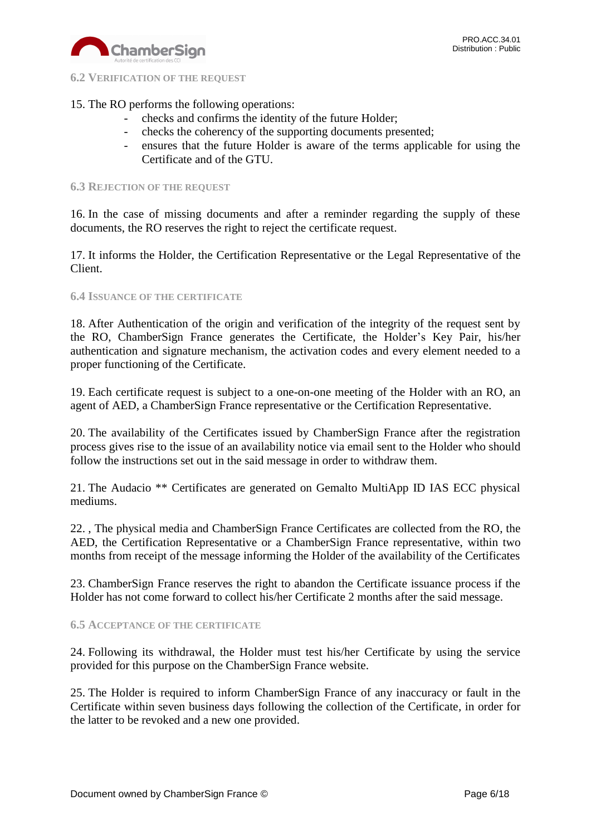

<span id="page-5-0"></span>**6.2 VERIFICATION OF THE REQUEST**

# 15. The RO performs the following operations:

- checks and confirms the identity of the future Holder;
- checks the coherency of the supporting documents presented;
- ensures that the future Holder is aware of the terms applicable for using the Certificate and of the GTU.

#### <span id="page-5-1"></span>**6.3 REJECTION OF THE REQUEST**

16. In the case of missing documents and after a reminder regarding the supply of these documents, the RO reserves the right to reject the certificate request.

17. It informs the Holder, the Certification Representative or the Legal Representative of the Client.

#### <span id="page-5-2"></span>**6.4 ISSUANCE OF THE CERTIFICATE**

18. After Authentication of the origin and verification of the integrity of the request sent by the RO, ChamberSign France generates the Certificate, the Holder's Key Pair, his/her authentication and signature mechanism, the activation codes and every element needed to a proper functioning of the Certificate.

19. Each certificate request is subject to a one-on-one meeting of the Holder with an RO, an agent of AED, a ChamberSign France representative or the Certification Representative.

20. The availability of the Certificates issued by ChamberSign France after the registration process gives rise to the issue of an availability notice via email sent to the Holder who should follow the instructions set out in the said message in order to withdraw them.

21. The Audacio \*\* Certificates are generated on Gemalto MultiApp ID IAS ECC physical mediums.

22. , The physical media and ChamberSign France Certificates are collected from the RO, the AED, the Certification Representative or a ChamberSign France representative, within two months from receipt of the message informing the Holder of the availability of the Certificates

23. ChamberSign France reserves the right to abandon the Certificate issuance process if the Holder has not come forward to collect his/her Certificate 2 months after the said message.

#### <span id="page-5-3"></span>**6.5 ACCEPTANCE OF THE CERTIFICATE**

24. Following its withdrawal, the Holder must test his/her Certificate by using the service provided for this purpose on the ChamberSign France website.

25. The Holder is required to inform ChamberSign France of any inaccuracy or fault in the Certificate within seven business days following the collection of the Certificate, in order for the latter to be revoked and a new one provided.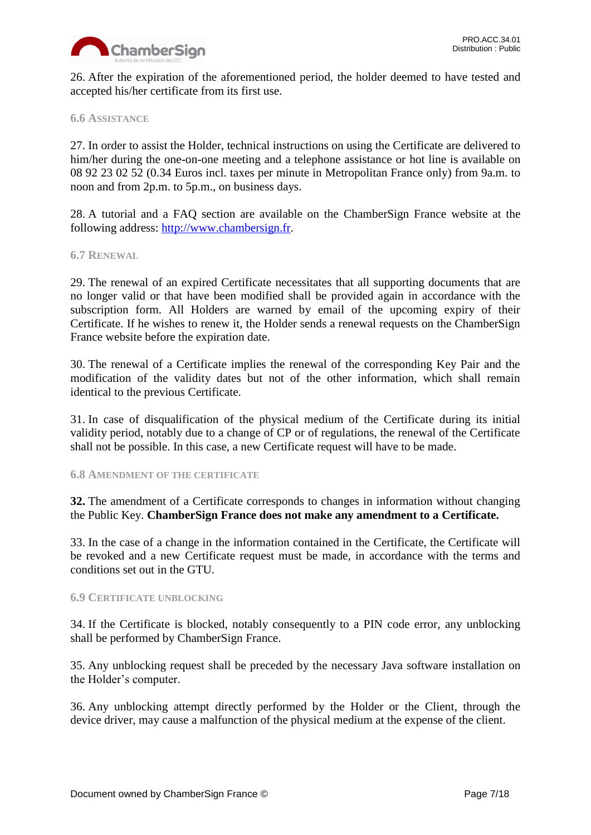

26. After the expiration of the aforementioned period, the holder deemed to have tested and accepted his/her certificate from its first use.

### <span id="page-6-0"></span>**6.6 ASSISTANCE**

27. In order to assist the Holder, technical instructions on using the Certificate are delivered to him/her during the one-on-one meeting and a telephone assistance or hot line is available on 08 92 23 02 52 (0.34 Euros incl. taxes per minute in Metropolitan France only) from 9a.m. to noon and from 2p.m. to 5p.m., on business days.

28. A tutorial and a FAQ section are available on the ChamberSign France website at the following address: [http://www.chambersign.fr.](http://www.chambersign.fr/)

#### <span id="page-6-1"></span>**6.7 RENEWAL**

29. The renewal of an expired Certificate necessitates that all supporting documents that are no longer valid or that have been modified shall be provided again in accordance with the subscription form. All Holders are warned by email of the upcoming expiry of their Certificate. If he wishes to renew it, the Holder sends a renewal requests on the ChamberSign France website before the expiration date.

30. The renewal of a Certificate implies the renewal of the corresponding Key Pair and the modification of the validity dates but not of the other information, which shall remain identical to the previous Certificate.

31. In case of disqualification of the physical medium of the Certificate during its initial validity period, notably due to a change of CP or of regulations, the renewal of the Certificate shall not be possible. In this case, a new Certificate request will have to be made.

#### <span id="page-6-2"></span>**6.8 AMENDMENT OF THE CERTIFICATE**

**32.** The amendment of a Certificate corresponds to changes in information without changing the Public Key. **ChamberSign France does not make any amendment to a Certificate.** 

33. In the case of a change in the information contained in the Certificate, the Certificate will be revoked and a new Certificate request must be made, in accordance with the terms and conditions set out in the GTU.

#### <span id="page-6-3"></span>**6.9 CERTIFICATE UNBLOCKING**

34. If the Certificate is blocked, notably consequently to a PIN code error, any unblocking shall be performed by ChamberSign France.

35. Any unblocking request shall be preceded by the necessary Java software installation on the Holder's computer.

36. Any unblocking attempt directly performed by the Holder or the Client, through the device driver, may cause a malfunction of the physical medium at the expense of the client.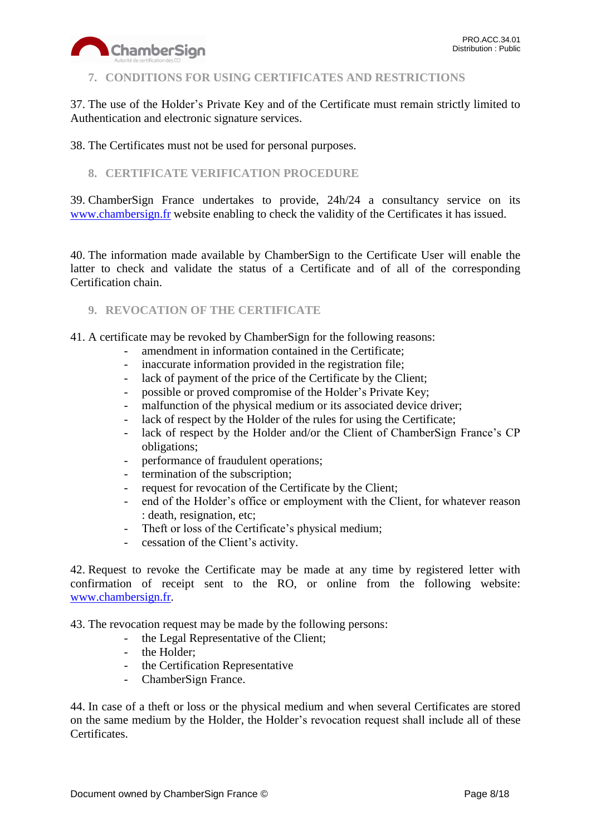

## <span id="page-7-0"></span>**7. CONDITIONS FOR USING CERTIFICATES AND RESTRICTIONS**

37. The use of the Holder's Private Key and of the Certificate must remain strictly limited to Authentication and electronic signature services.

38. The Certificates must not be used for personal purposes.

## <span id="page-7-1"></span>**8. CERTIFICATE VERIFICATION PROCEDURE**

39. ChamberSign France undertakes to provide, 24h/24 a consultancy service on its [www.chambersign.fr](http://www.chambersign.fr/) website enabling to check the validity of the Certificates it has issued.

40. The information made available by ChamberSign to the Certificate User will enable the latter to check and validate the status of a Certificate and of all of the corresponding Certification chain.

## <span id="page-7-2"></span>**9. REVOCATION OF THE CERTIFICATE**

41. A certificate may be revoked by ChamberSign for the following reasons:

- amendment in information contained in the Certificate;
- inaccurate information provided in the registration file;
- lack of payment of the price of the Certificate by the Client;
- possible or proved compromise of the Holder's Private Key;
- malfunction of the physical medium or its associated device driver;
- lack of respect by the Holder of the rules for using the Certificate;
- lack of respect by the Holder and/or the Client of ChamberSign France's CP obligations;
- performance of fraudulent operations;
- termination of the subscription;
- request for revocation of the Certificate by the Client;
- end of the Holder's office or employment with the Client, for whatever reason : death, resignation, etc;
- Theft or loss of the Certificate's physical medium;
- cessation of the Client's activity.

42. Request to revoke the Certificate may be made at any time by registered letter with confirmation of receipt sent to the RO, or online from the following website: [www.chambersign.fr.](http://www.chambersign.fr/)

43. The revocation request may be made by the following persons:

- the Legal Representative of the Client;
- the Holder;
- the Certification Representative
- ChamberSign France.

44. In case of a theft or loss or the physical medium and when several Certificates are stored on the same medium by the Holder, the Holder's revocation request shall include all of these Certificates.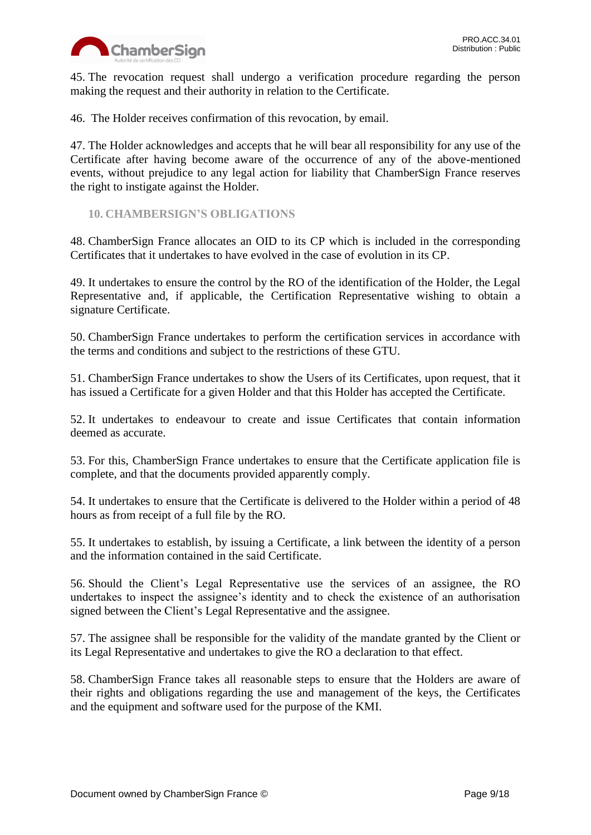

45. The revocation request shall undergo a verification procedure regarding the person making the request and their authority in relation to the Certificate.

46. The Holder receives confirmation of this revocation, by email.

47. The Holder acknowledges and accepts that he will bear all responsibility for any use of the Certificate after having become aware of the occurrence of any of the above-mentioned events, without prejudice to any legal action for liability that ChamberSign France reserves the right to instigate against the Holder.

<span id="page-8-0"></span>**10. CHAMBERSIGN'S OBLIGATIONS**

48. ChamberSign France allocates an OID to its CP which is included in the corresponding Certificates that it undertakes to have evolved in the case of evolution in its CP.

49. It undertakes to ensure the control by the RO of the identification of the Holder, the Legal Representative and, if applicable, the Certification Representative wishing to obtain a signature Certificate.

50. ChamberSign France undertakes to perform the certification services in accordance with the terms and conditions and subject to the restrictions of these GTU.

51. ChamberSign France undertakes to show the Users of its Certificates, upon request, that it has issued a Certificate for a given Holder and that this Holder has accepted the Certificate.

52. It undertakes to endeavour to create and issue Certificates that contain information deemed as accurate.

53. For this, ChamberSign France undertakes to ensure that the Certificate application file is complete, and that the documents provided apparently comply.

54. It undertakes to ensure that the Certificate is delivered to the Holder within a period of 48 hours as from receipt of a full file by the RO.

55. It undertakes to establish, by issuing a Certificate, a link between the identity of a person and the information contained in the said Certificate.

56. Should the Client's Legal Representative use the services of an assignee, the RO undertakes to inspect the assignee's identity and to check the existence of an authorisation signed between the Client's Legal Representative and the assignee.

57. The assignee shall be responsible for the validity of the mandate granted by the Client or its Legal Representative and undertakes to give the RO a declaration to that effect.

58. ChamberSign France takes all reasonable steps to ensure that the Holders are aware of their rights and obligations regarding the use and management of the keys, the Certificates and the equipment and software used for the purpose of the KMI.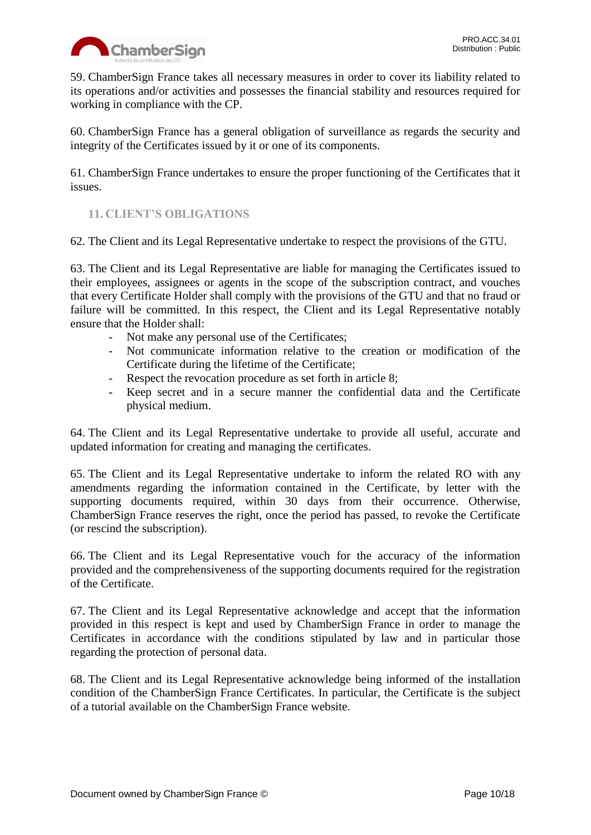

59. ChamberSign France takes all necessary measures in order to cover its liability related to its operations and/or activities and possesses the financial stability and resources required for working in compliance with the CP.

60. ChamberSign France has a general obligation of surveillance as regards the security and integrity of the Certificates issued by it or one of its components.

61. ChamberSign France undertakes to ensure the proper functioning of the Certificates that it issues.

# <span id="page-9-0"></span>**11. CLIENT'S OBLIGATIONS**

62. The Client and its Legal Representative undertake to respect the provisions of the GTU.

63. The Client and its Legal Representative are liable for managing the Certificates issued to their employees, assignees or agents in the scope of the subscription contract, and vouches that every Certificate Holder shall comply with the provisions of the GTU and that no fraud or failure will be committed. In this respect, the Client and its Legal Representative notably ensure that the Holder shall:

- Not make any personal use of the Certificates;
- Not communicate information relative to the creation or modification of the Certificate during the lifetime of the Certificate;
- Respect the revocation procedure as set forth in article 8;
- Keep secret and in a secure manner the confidential data and the Certificate physical medium.

64. The Client and its Legal Representative undertake to provide all useful, accurate and updated information for creating and managing the certificates.

65. The Client and its Legal Representative undertake to inform the related RO with any amendments regarding the information contained in the Certificate, by letter with the supporting documents required, within 30 days from their occurrence. Otherwise, ChamberSign France reserves the right, once the period has passed, to revoke the Certificate (or rescind the subscription).

66. The Client and its Legal Representative vouch for the accuracy of the information provided and the comprehensiveness of the supporting documents required for the registration of the Certificate.

67. The Client and its Legal Representative acknowledge and accept that the information provided in this respect is kept and used by ChamberSign France in order to manage the Certificates in accordance with the conditions stipulated by law and in particular those regarding the protection of personal data.

68. The Client and its Legal Representative acknowledge being informed of the installation condition of the ChamberSign France Certificates. In particular, the Certificate is the subject of a tutorial available on the ChamberSign France website.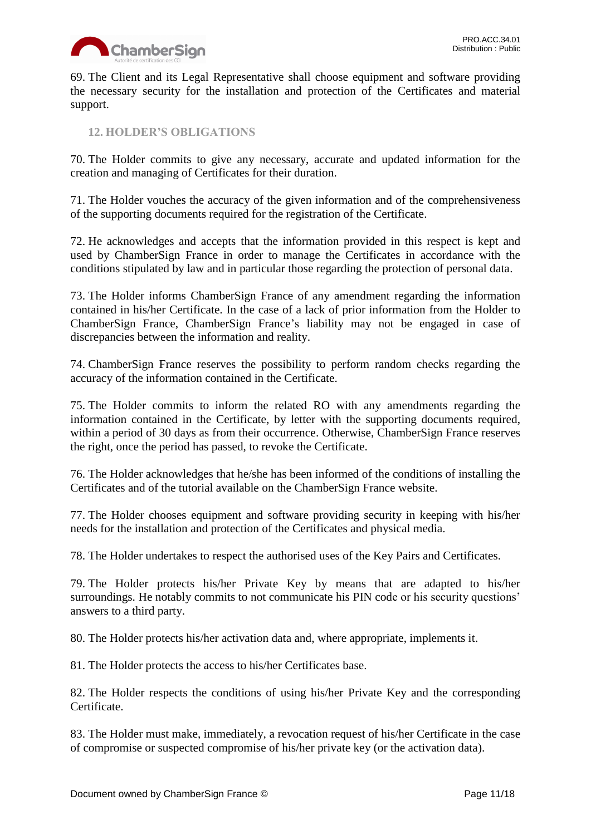

69. The Client and its Legal Representative shall choose equipment and software providing the necessary security for the installation and protection of the Certificates and material support.

<span id="page-10-0"></span>**12. HOLDER'S OBLIGATIONS**

70. The Holder commits to give any necessary, accurate and updated information for the creation and managing of Certificates for their duration.

71. The Holder vouches the accuracy of the given information and of the comprehensiveness of the supporting documents required for the registration of the Certificate.

72. He acknowledges and accepts that the information provided in this respect is kept and used by ChamberSign France in order to manage the Certificates in accordance with the conditions stipulated by law and in particular those regarding the protection of personal data.

73. The Holder informs ChamberSign France of any amendment regarding the information contained in his/her Certificate. In the case of a lack of prior information from the Holder to ChamberSign France, ChamberSign France's liability may not be engaged in case of discrepancies between the information and reality.

74. ChamberSign France reserves the possibility to perform random checks regarding the accuracy of the information contained in the Certificate.

75. The Holder commits to inform the related RO with any amendments regarding the information contained in the Certificate, by letter with the supporting documents required, within a period of 30 days as from their occurrence. Otherwise, ChamberSign France reserves the right, once the period has passed, to revoke the Certificate.

76. The Holder acknowledges that he/she has been informed of the conditions of installing the Certificates and of the tutorial available on the ChamberSign France website.

77. The Holder chooses equipment and software providing security in keeping with his/her needs for the installation and protection of the Certificates and physical media.

78. The Holder undertakes to respect the authorised uses of the Key Pairs and Certificates.

79. The Holder protects his/her Private Key by means that are adapted to his/her surroundings. He notably commits to not communicate his PIN code or his security questions' answers to a third party.

80. The Holder protects his/her activation data and, where appropriate, implements it.

81. The Holder protects the access to his/her Certificates base.

82. The Holder respects the conditions of using his/her Private Key and the corresponding Certificate.

83. The Holder must make, immediately, a revocation request of his/her Certificate in the case of compromise or suspected compromise of his/her private key (or the activation data).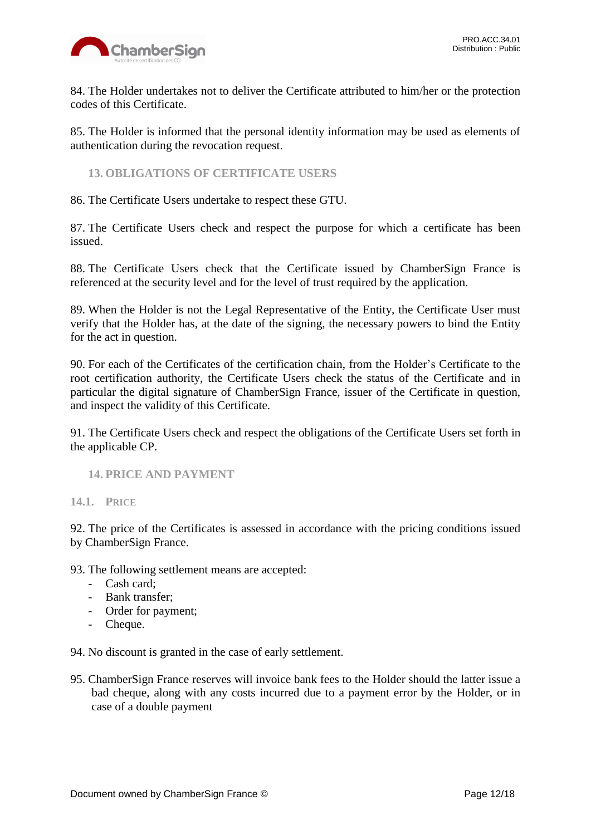

84. The Holder undertakes not to deliver the Certificate attributed to him/her or the protection codes of this Certificate.

85. The Holder is informed that the personal identity information may be used as elements of authentication during the revocation request.

<span id="page-11-0"></span>**13. OBLIGATIONS OF CERTIFICATE USERS**

86. The Certificate Users undertake to respect these GTU.

87. The Certificate Users check and respect the purpose for which a certificate has been issued.

88. The Certificate Users check that the Certificate issued by ChamberSign France is referenced at the security level and for the level of trust required by the application.

89. When the Holder is not the Legal Representative of the Entity, the Certificate User must verify that the Holder has, at the date of the signing, the necessary powers to bind the Entity for the act in question.

90. For each of the Certificates of the certification chain, from the Holder's Certificate to the root certification authority, the Certificate Users check the status of the Certificate and in particular the digital signature of ChamberSign France, issuer of the Certificate in question, and inspect the validity of this Certificate.

91. The Certificate Users check and respect the obligations of the Certificate Users set forth in the applicable CP.

#### <span id="page-11-1"></span>**14. PRICE AND PAYMENT**

<span id="page-11-2"></span>**14.1. PRICE**

92. The price of the Certificates is assessed in accordance with the pricing conditions issued by ChamberSign France.

93. The following settlement means are accepted:

- Cash card;
- Bank transfer;
- Order for payment;
- Cheque.

94. No discount is granted in the case of early settlement.

95. ChamberSign France reserves will invoice bank fees to the Holder should the latter issue a bad cheque, along with any costs incurred due to a payment error by the Holder, or in case of a double payment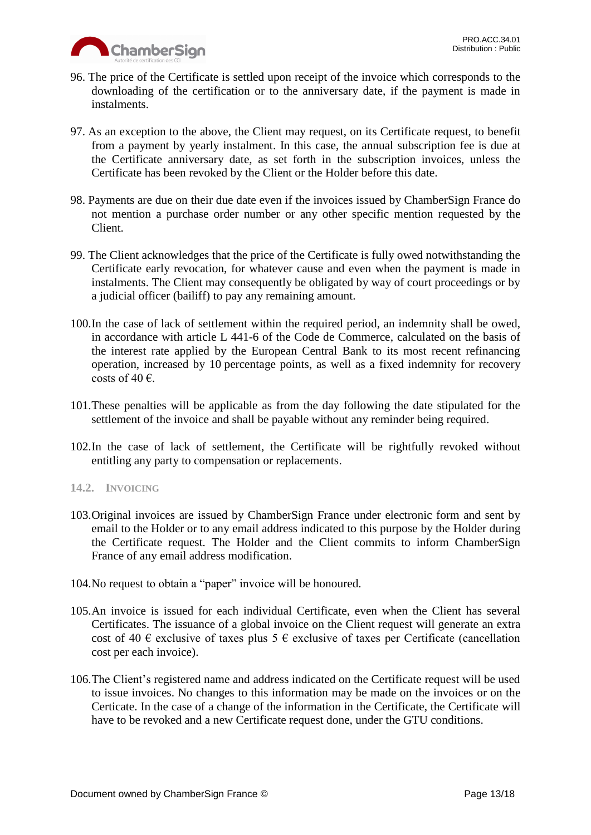

- 96. The price of the Certificate is settled upon receipt of the invoice which corresponds to the downloading of the certification or to the anniversary date, if the payment is made in instalments.
- 97. As an exception to the above, the Client may request, on its Certificate request, to benefit from a payment by yearly instalment. In this case, the annual subscription fee is due at the Certificate anniversary date, as set forth in the subscription invoices, unless the Certificate has been revoked by the Client or the Holder before this date.
- 98. Payments are due on their due date even if the invoices issued by ChamberSign France do not mention a purchase order number or any other specific mention requested by the Client.
- 99. The Client acknowledges that the price of the Certificate is fully owed notwithstanding the Certificate early revocation, for whatever cause and even when the payment is made in instalments. The Client may consequently be obligated by way of court proceedings or by a judicial officer (bailiff) to pay any remaining amount.
- 100.In the case of lack of settlement within the required period, an indemnity shall be owed, in accordance with article L 441-6 of the Code de Commerce, calculated on the basis of the interest rate applied by the European Central Bank to its most recent refinancing operation, increased by 10 percentage points, as well as a fixed indemnity for recovery costs of 40  $\epsilon$ .
- 101.These penalties will be applicable as from the day following the date stipulated for the settlement of the invoice and shall be payable without any reminder being required.
- 102.In the case of lack of settlement, the Certificate will be rightfully revoked without entitling any party to compensation or replacements.

# <span id="page-12-0"></span>**14.2. INVOICING**

- 103.Original invoices are issued by ChamberSign France under electronic form and sent by email to the Holder or to any email address indicated to this purpose by the Holder during the Certificate request. The Holder and the Client commits to inform ChamberSign France of any email address modification.
- 104.No request to obtain a "paper" invoice will be honoured.
- 105.An invoice is issued for each individual Certificate, even when the Client has several Certificates. The issuance of a global invoice on the Client request will generate an extra cost of 40  $\epsilon$  exclusive of taxes plus 5  $\epsilon$  exclusive of taxes per Certificate (cancellation cost per each invoice).
- 106.The Client's registered name and address indicated on the Certificate request will be used to issue invoices. No changes to this information may be made on the invoices or on the Certicate. In the case of a change of the information in the Certificate, the Certificate will have to be revoked and a new Certificate request done, under the GTU conditions.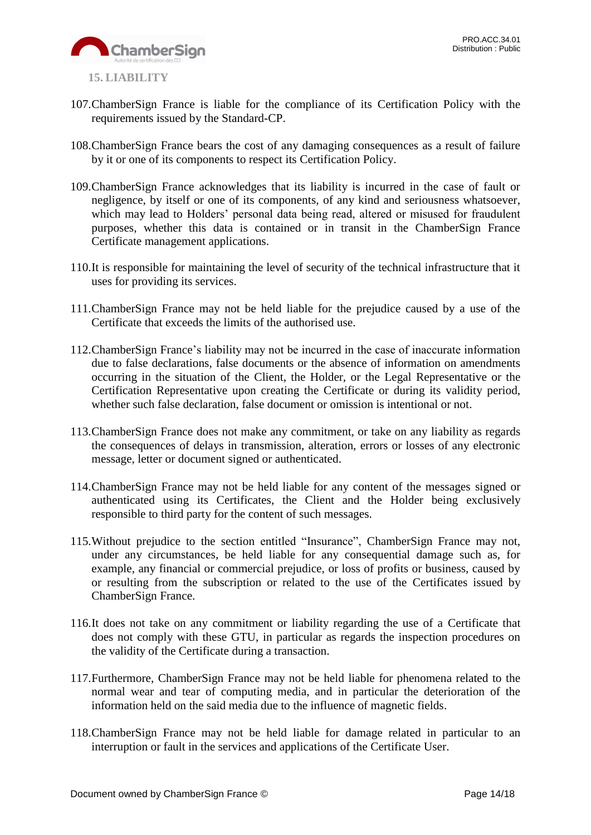

- <span id="page-13-0"></span>107.ChamberSign France is liable for the compliance of its Certification Policy with the requirements issued by the Standard-CP.
- 108.ChamberSign France bears the cost of any damaging consequences as a result of failure by it or one of its components to respect its Certification Policy.
- 109.ChamberSign France acknowledges that its liability is incurred in the case of fault or negligence, by itself or one of its components, of any kind and seriousness whatsoever, which may lead to Holders' personal data being read, altered or misused for fraudulent purposes, whether this data is contained or in transit in the ChamberSign France Certificate management applications.
- 110.It is responsible for maintaining the level of security of the technical infrastructure that it uses for providing its services.
- 111.ChamberSign France may not be held liable for the prejudice caused by a use of the Certificate that exceeds the limits of the authorised use.
- 112.ChamberSign France's liability may not be incurred in the case of inaccurate information due to false declarations, false documents or the absence of information on amendments occurring in the situation of the Client, the Holder, or the Legal Representative or the Certification Representative upon creating the Certificate or during its validity period, whether such false declaration, false document or omission is intentional or not.
- 113.ChamberSign France does not make any commitment, or take on any liability as regards the consequences of delays in transmission, alteration, errors or losses of any electronic message, letter or document signed or authenticated.
- 114.ChamberSign France may not be held liable for any content of the messages signed or authenticated using its Certificates, the Client and the Holder being exclusively responsible to third party for the content of such messages.
- 115.Without prejudice to the section entitled "Insurance", ChamberSign France may not, under any circumstances, be held liable for any consequential damage such as, for example, any financial or commercial prejudice, or loss of profits or business, caused by or resulting from the subscription or related to the use of the Certificates issued by ChamberSign France.
- 116.It does not take on any commitment or liability regarding the use of a Certificate that does not comply with these GTU, in particular as regards the inspection procedures on the validity of the Certificate during a transaction.
- 117.Furthermore, ChamberSign France may not be held liable for phenomena related to the normal wear and tear of computing media, and in particular the deterioration of the information held on the said media due to the influence of magnetic fields.
- 118.ChamberSign France may not be held liable for damage related in particular to an interruption or fault in the services and applications of the Certificate User.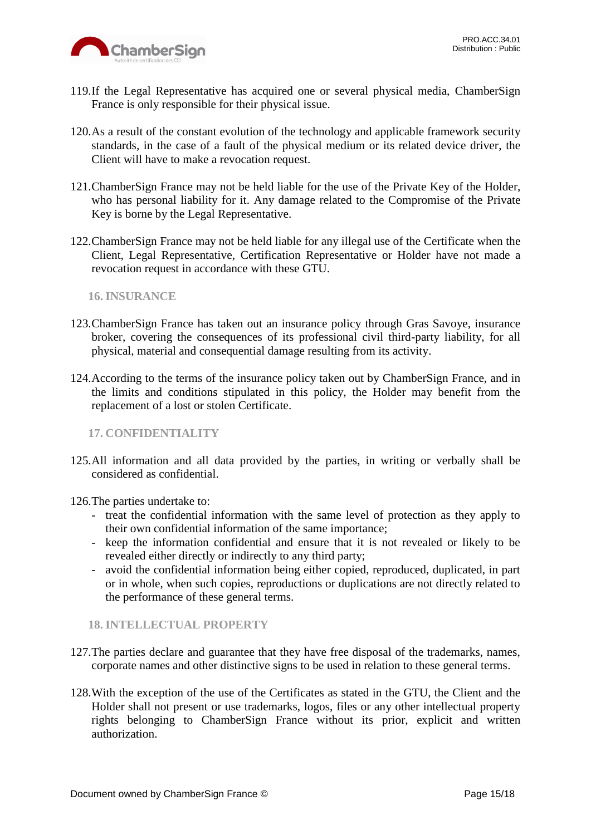

- 119.If the Legal Representative has acquired one or several physical media, ChamberSign France is only responsible for their physical issue.
- 120.As a result of the constant evolution of the technology and applicable framework security standards, in the case of a fault of the physical medium or its related device driver, the Client will have to make a revocation request.
- 121.ChamberSign France may not be held liable for the use of the Private Key of the Holder, who has personal liability for it. Any damage related to the Compromise of the Private Key is borne by the Legal Representative.
- 122.ChamberSign France may not be held liable for any illegal use of the Certificate when the Client, Legal Representative, Certification Representative or Holder have not made a revocation request in accordance with these GTU.

<span id="page-14-0"></span>**16. INSURANCE**

- 123.ChamberSign France has taken out an insurance policy through Gras Savoye, insurance broker, covering the consequences of its professional civil third-party liability, for all physical, material and consequential damage resulting from its activity.
- 124.According to the terms of the insurance policy taken out by ChamberSign France, and in the limits and conditions stipulated in this policy, the Holder may benefit from the replacement of a lost or stolen Certificate.

<span id="page-14-1"></span>**17. CONFIDENTIALITY**

125.All information and all data provided by the parties, in writing or verbally shall be considered as confidential.

126.The parties undertake to:

- treat the confidential information with the same level of protection as they apply to their own confidential information of the same importance;
- keep the information confidential and ensure that it is not revealed or likely to be revealed either directly or indirectly to any third party;
- avoid the confidential information being either copied, reproduced, duplicated, in part or in whole, when such copies, reproductions or duplications are not directly related to the performance of these general terms.

<span id="page-14-2"></span>**18. INTELLECTUAL PROPERTY**

- 127.The parties declare and guarantee that they have free disposal of the trademarks, names, corporate names and other distinctive signs to be used in relation to these general terms.
- 128.With the exception of the use of the Certificates as stated in the GTU, the Client and the Holder shall not present or use trademarks, logos, files or any other intellectual property rights belonging to ChamberSign France without its prior, explicit and written authorization.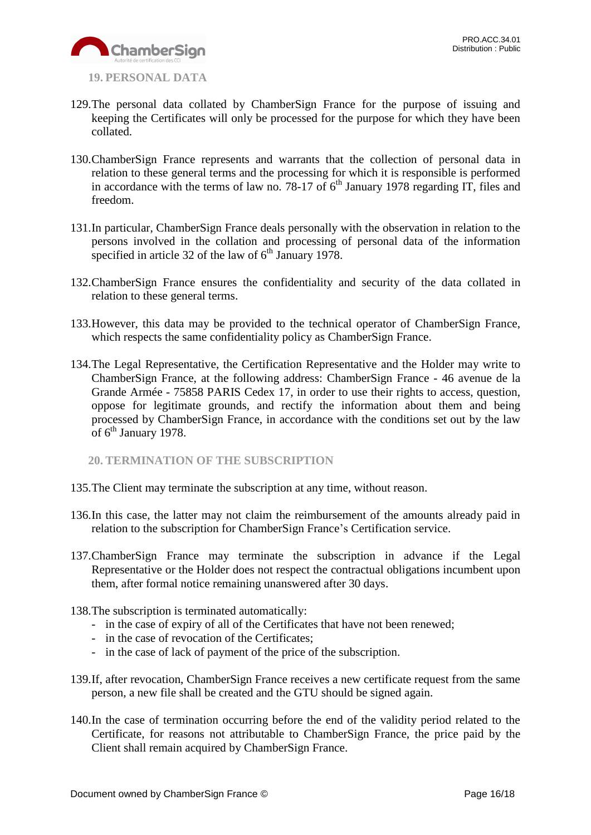

- <span id="page-15-0"></span>**19. PERSONAL DATA**
- 129.The personal data collated by ChamberSign France for the purpose of issuing and keeping the Certificates will only be processed for the purpose for which they have been collated.
- 130.ChamberSign France represents and warrants that the collection of personal data in relation to these general terms and the processing for which it is responsible is performed in accordance with the terms of law no. 78-17 of  $6<sup>th</sup>$  January 1978 regarding IT, files and freedom.
- 131.In particular, ChamberSign France deals personally with the observation in relation to the persons involved in the collation and processing of personal data of the information specified in article 32 of the law of  $6<sup>th</sup>$  January 1978.
- 132.ChamberSign France ensures the confidentiality and security of the data collated in relation to these general terms.
- 133.However, this data may be provided to the technical operator of ChamberSign France, which respects the same confidentiality policy as ChamberSign France.
- 134.The Legal Representative, the Certification Representative and the Holder may write to ChamberSign France, at the following address: ChamberSign France - 46 avenue de la Grande Armée - 75858 PARIS Cedex 17, in order to use their rights to access, question, oppose for legitimate grounds, and rectify the information about them and being processed by ChamberSign France, in accordance with the conditions set out by the law of 6<sup>th</sup> January 1978.

<span id="page-15-1"></span>**20. TERMINATION OF THE SUBSCRIPTION**

- 135.The Client may terminate the subscription at any time, without reason.
- 136.In this case, the latter may not claim the reimbursement of the amounts already paid in relation to the subscription for ChamberSign France's Certification service.
- 137.ChamberSign France may terminate the subscription in advance if the Legal Representative or the Holder does not respect the contractual obligations incumbent upon them, after formal notice remaining unanswered after 30 days.
- 138.The subscription is terminated automatically:
	- in the case of expiry of all of the Certificates that have not been renewed;
	- in the case of revocation of the Certificates;
	- in the case of lack of payment of the price of the subscription.
- 139.If, after revocation, ChamberSign France receives a new certificate request from the same person, a new file shall be created and the GTU should be signed again.
- 140.In the case of termination occurring before the end of the validity period related to the Certificate, for reasons not attributable to ChamberSign France, the price paid by the Client shall remain acquired by ChamberSign France.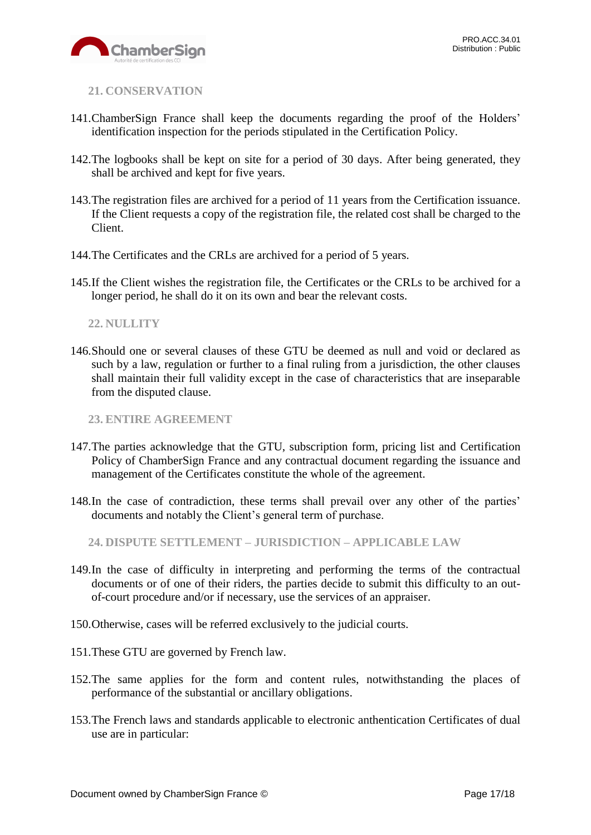

<span id="page-16-0"></span>**21. CONSERVATION**

- 141.ChamberSign France shall keep the documents regarding the proof of the Holders' identification inspection for the periods stipulated in the Certification Policy.
- 142.The logbooks shall be kept on site for a period of 30 days. After being generated, they shall be archived and kept for five years.
- 143.The registration files are archived for a period of 11 years from the Certification issuance. If the Client requests a copy of the registration file, the related cost shall be charged to the Client.
- 144.The Certificates and the CRLs are archived for a period of 5 years.
- 145.If the Client wishes the registration file, the Certificates or the CRLs to be archived for a longer period, he shall do it on its own and bear the relevant costs.

### <span id="page-16-1"></span>**22. NULLITY**

146.Should one or several clauses of these GTU be deemed as null and void or declared as such by a law, regulation or further to a final ruling from a jurisdiction, the other clauses shall maintain their full validity except in the case of characteristics that are inseparable from the disputed clause.

<span id="page-16-2"></span>**23. ENTIRE AGREEMENT**

- 147.The parties acknowledge that the GTU, subscription form, pricing list and Certification Policy of ChamberSign France and any contractual document regarding the issuance and management of the Certificates constitute the whole of the agreement.
- 148.In the case of contradiction, these terms shall prevail over any other of the parties' documents and notably the Client's general term of purchase.

<span id="page-16-3"></span>**24. DISPUTE SETTLEMENT – JURISDICTION – APPLICABLE LAW**

- 149.In the case of difficulty in interpreting and performing the terms of the contractual documents or of one of their riders, the parties decide to submit this difficulty to an outof-court procedure and/or if necessary, use the services of an appraiser.
- 150.Otherwise, cases will be referred exclusively to the judicial courts.
- 151.These GTU are governed by French law.
- 152.The same applies for the form and content rules, notwithstanding the places of performance of the substantial or ancillary obligations.
- 153.The French laws and standards applicable to electronic anthentication Certificates of dual use are in particular: